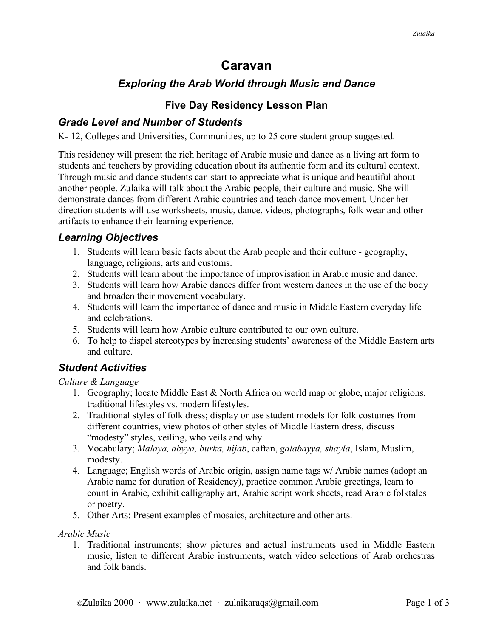# **Caravan**

## *Exploring the Arab World through Music and Dance*

### **Five Day Residency Lesson Plan**

### *Grade Level and Number of Students*

K- 12, Colleges and Universities, Communities, up to 25 core student group suggested.

This residency will present the rich heritage of Arabic music and dance as a living art form to students and teachers by providing education about its authentic form and its cultural context. Through music and dance students can start to appreciate what is unique and beautiful about another people. Zulaika will talk about the Arabic people, their culture and music. She will demonstrate dances from different Arabic countries and teach dance movement. Under her direction students will use worksheets, music, dance, videos, photographs, folk wear and other artifacts to enhance their learning experience.

### *Learning Objectives*

- 1. Students will learn basic facts about the Arab people and their culture geography, language, religions, arts and customs.
- 2. Students will learn about the importance of improvisation in Arabic music and dance.
- 3. Students will learn how Arabic dances differ from western dances in the use of the body and broaden their movement vocabulary.
- 4. Students will learn the importance of dance and music in Middle Eastern everyday life and celebrations.
- 5. Students will learn how Arabic culture contributed to our own culture.
- 6. To help to dispel stereotypes by increasing students' awareness of the Middle Eastern arts and culture.

## *Student Activities*

*Culture & Language* 

- 1. Geography; locate Middle East & North Africa on world map or globe, major religions, traditional lifestyles vs. modern lifestyles.
- 2. Traditional styles of folk dress; display or use student models for folk costumes from different countries, view photos of other styles of Middle Eastern dress, discuss "modesty" styles, veiling, who veils and why.
- 3. Vocabulary; *Malaya, abyya, burka, hijab*, caftan, *galabayya, shayla*, Islam, Muslim, modesty.
- 4. Language; English words of Arabic origin, assign name tags w/ Arabic names (adopt an Arabic name for duration of Residency), practice common Arabic greetings, learn to count in Arabic, exhibit calligraphy art, Arabic script work sheets, read Arabic folktales or poetry.
- 5. Other Arts: Present examples of mosaics, architecture and other arts.

#### *Arabic Music*

1. Traditional instruments; show pictures and actual instruments used in Middle Eastern music, listen to different Arabic instruments, watch video selections of Arab orchestras and folk bands.